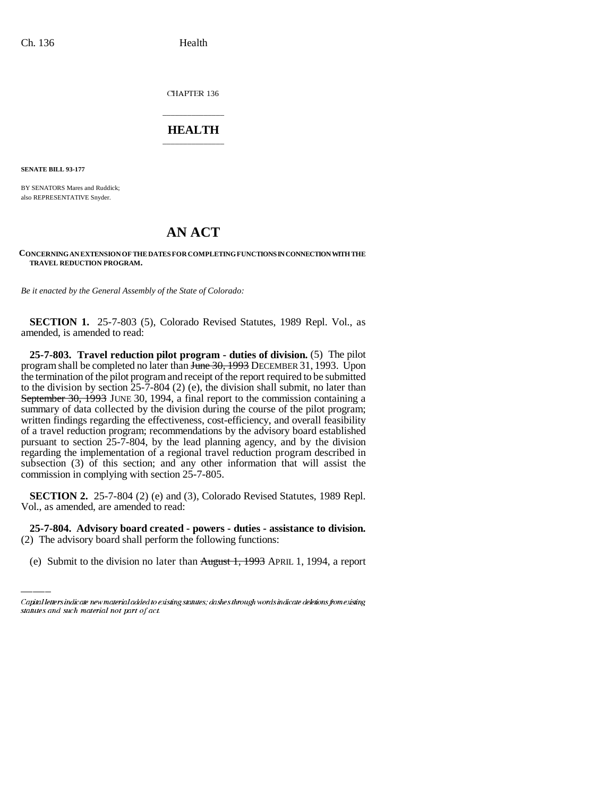CHAPTER 136

## \_\_\_\_\_\_\_\_\_\_\_\_\_\_\_ **HEALTH** \_\_\_\_\_\_\_\_\_\_\_\_\_\_\_

**SENATE BILL 93-177**

BY SENATORS Mares and Ruddick; also REPRESENTATIVE Snyder.

## **AN ACT**

## **CONCERNING AN EXTENSION OF THE DATES FOR COMPLETING FUNCTIONS IN CONNECTION WITH THE TRAVEL REDUCTION PROGRAM.**

*Be it enacted by the General Assembly of the State of Colorado:* 

**SECTION 1.** 25-7-803 (5), Colorado Revised Statutes, 1989 Repl. Vol., as amended, is amended to read:

**25-7-803. Travel reduction pilot program - duties of division.** (5) The pilot program shall be completed no later than  $\overline{H}$   $\overline{H}$   $\overline{H}$   $\overline{H}$   $\overline{H}$   $\overline{H}$   $\overline{H}$   $\overline{H}$   $\overline{H}$   $\overline{H}$   $\overline{H}$   $\overline{H}$   $\overline{H}$   $\overline{H}$   $\overline{H}$   $\overline{H}$   $\overline{H}$   $\overline{H}$   $\overline{H}$   $\overline{H}$  the termination of the pilot program and receipt of the report required to be submitted to the division by section 25-7-804 (2) (e), the division shall submit, no later than September 30, 1993 JUNE 30, 1994, a final report to the commission containing a summary of data collected by the division during the course of the pilot program; written findings regarding the effectiveness, cost-efficiency, and overall feasibility of a travel reduction program; recommendations by the advisory board established pursuant to section  $25-7-804$ , by the lead planning agency, and by the division regarding the implementation of a regional travel reduction program described in subsection (3) of this section; and any other information that will assist the commission in complying with section 25-7-805.

 **SECTION 2.** 25-7-804 (2) (e) and (3), Colorado Revised Statutes, 1989 Repl. Vol., as amended, are amended to read:

**25-7-804. Advisory board created - powers - duties - assistance to division.** (2) The advisory board shall perform the following functions:

(e) Submit to the division no later than August 1, 1993 APRIL 1, 1994, a report

Capital letters indicate new material added to existing statutes; dashes through words indicate deletions from existing statutes and such material not part of act.